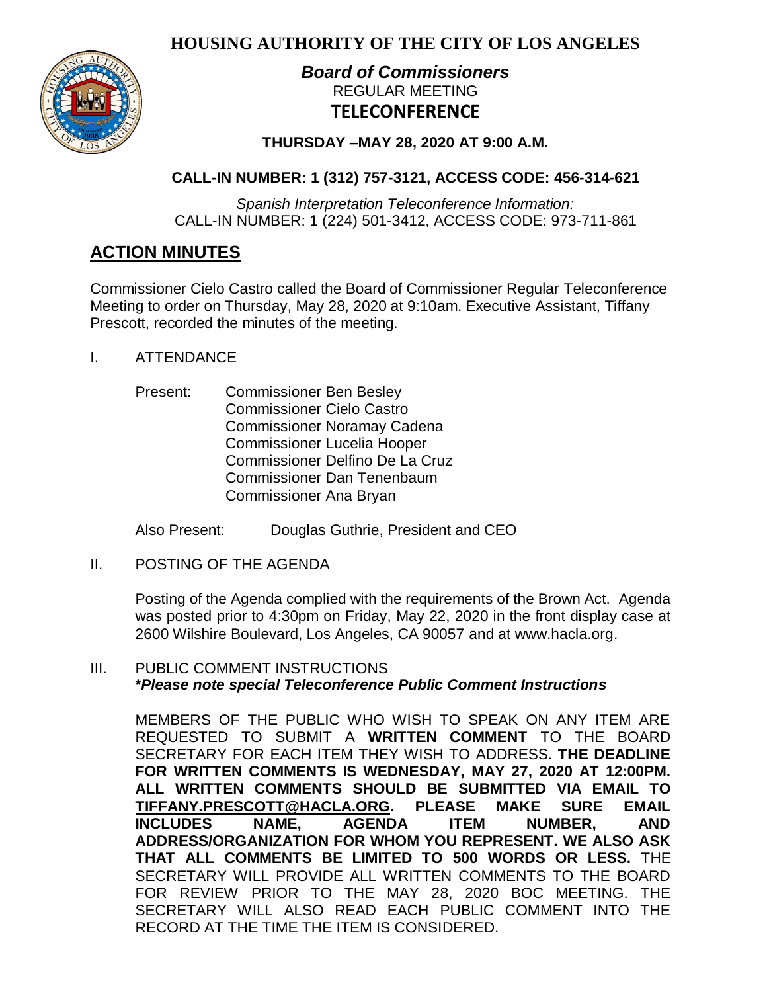**HOUSING AUTHORITY OF THE CITY OF LOS ANGELES**



# *Board of Commissioners* REGULAR MEETING **TELECONFERENCE**

**THURSDAY –MAY 28, 2020 AT 9:00 A.M.**

# **CALL-IN NUMBER: 1 (312) 757-3121, ACCESS CODE: 456-314-621**

*Spanish Interpretation Teleconference Information:* CALL-IN NUMBER: 1 (224) 501-3412, ACCESS CODE: 973-711-861

# **ACTION MINUTES**

Commissioner Cielo Castro called the Board of Commissioner Regular Teleconference Meeting to order on Thursday, May 28, 2020 at 9:10am. Executive Assistant, Tiffany Prescott, recorded the minutes of the meeting.

- I. ATTENDANCE
	- Present: Commissioner Ben Besley Commissioner Cielo Castro Commissioner Noramay Cadena Commissioner Lucelia Hooper Commissioner Delfino De La Cruz Commissioner Dan Tenenbaum Commissioner Ana Bryan

Also Present: Douglas Guthrie, President and CEO

II. POSTING OF THE AGENDA

Posting of the Agenda complied with the requirements of the Brown Act. Agenda was posted prior to 4:30pm on Friday, May 22, 2020 in the front display case at 2600 Wilshire Boulevard, Los Angeles, CA 90057 and at [www.hacla.org.](http://www.hacla.org/)

# III. PUBLIC COMMENT INSTRUCTIONS **\****Please note special Teleconference Public Comment Instructions*

MEMBERS OF THE PUBLIC WHO WISH TO SPEAK ON ANY ITEM ARE REQUESTED TO SUBMIT A **WRITTEN COMMENT** TO THE BOARD SECRETARY FOR EACH ITEM THEY WISH TO ADDRESS. **THE DEADLINE FOR WRITTEN COMMENTS IS WEDNESDAY, MAY 27, 2020 AT 12:00PM. ALL WRITTEN COMMENTS SHOULD BE SUBMITTED VIA EMAIL TO [TIFFANY.PRESCOTT@HACLA.ORG.](mailto:TIFFANY.PRESCOTT@HACLA.ORG) PLEASE MAKE SURE EMAIL INCLUDES NAME, AGENDA ITEM NUMBER, AND ADDRESS/ORGANIZATION FOR WHOM YOU REPRESENT. WE ALSO ASK THAT ALL COMMENTS BE LIMITED TO 500 WORDS OR LESS.** THE SECRETARY WILL PROVIDE ALL WRITTEN COMMENTS TO THE BOARD FOR REVIEW PRIOR TO THE MAY 28, 2020 BOC MEETING. THE SECRETARY WILL ALSO READ EACH PUBLIC COMMENT INTO THE RECORD AT THE TIME THE ITEM IS CONSIDERED.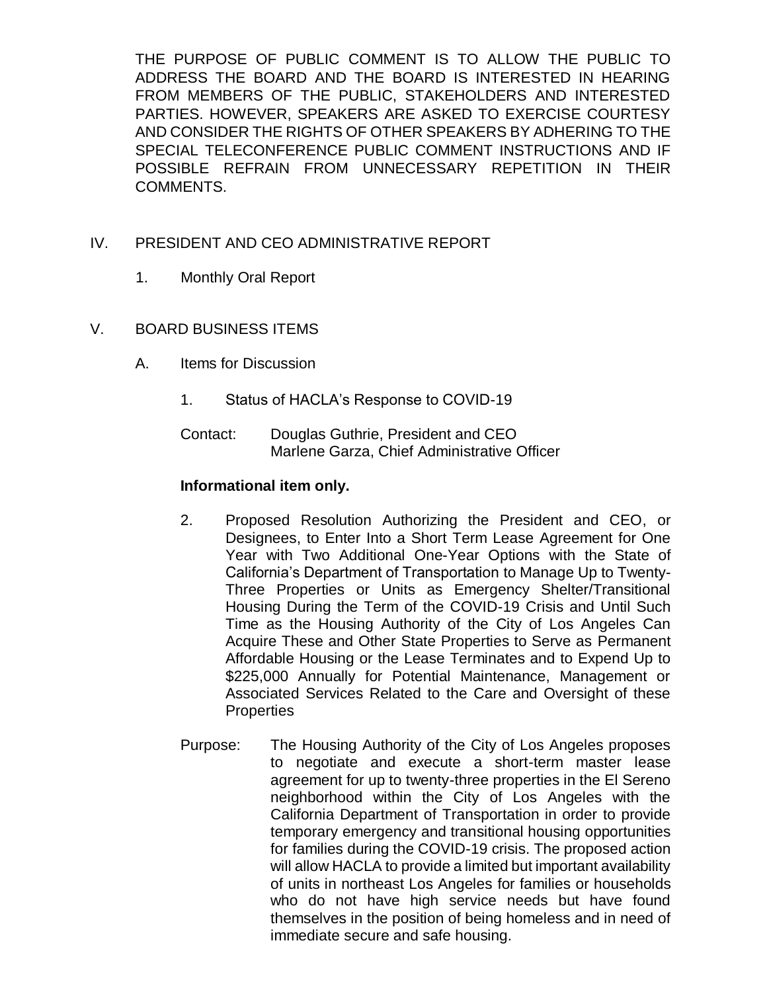THE PURPOSE OF PUBLIC COMMENT IS TO ALLOW THE PUBLIC TO ADDRESS THE BOARD AND THE BOARD IS INTERESTED IN HEARING FROM MEMBERS OF THE PUBLIC, STAKEHOLDERS AND INTERESTED PARTIES. HOWEVER, SPEAKERS ARE ASKED TO EXERCISE COURTESY AND CONSIDER THE RIGHTS OF OTHER SPEAKERS BY ADHERING TO THE SPECIAL TELECONFERENCE PUBLIC COMMENT INSTRUCTIONS AND IF POSSIBLE REFRAIN FROM UNNECESSARY REPETITION IN THEIR COMMENTS.

# IV. PRESIDENT AND CEO ADMINISTRATIVE REPORT

- 1. Monthly Oral Report
- V. BOARD BUSINESS ITEMS
	- A. Items for Discussion
		- 1. Status of HACLA's Response to COVID-19
		- Contact: Douglas Guthrie, President and CEO Marlene Garza, Chief Administrative Officer

# **Informational item only.**

- 2. Proposed Resolution Authorizing the President and CEO, or Designees, to Enter Into a Short Term Lease Agreement for One Year with Two Additional One-Year Options with the State of California's Department of Transportation to Manage Up to Twenty-Three Properties or Units as Emergency Shelter/Transitional Housing During the Term of the COVID-19 Crisis and Until Such Time as the Housing Authority of the City of Los Angeles Can Acquire These and Other State Properties to Serve as Permanent Affordable Housing or the Lease Terminates and to Expend Up to \$225,000 Annually for Potential Maintenance, Management or Associated Services Related to the Care and Oversight of these **Properties**
- Purpose: The Housing Authority of the City of Los Angeles proposes to negotiate and execute a short-term master lease agreement for up to twenty-three properties in the El Sereno neighborhood within the City of Los Angeles with the California Department of Transportation in order to provide temporary emergency and transitional housing opportunities for families during the COVID-19 crisis. The proposed action will allow HACLA to provide a limited but important availability of units in northeast Los Angeles for families or households who do not have high service needs but have found themselves in the position of being homeless and in need of immediate secure and safe housing.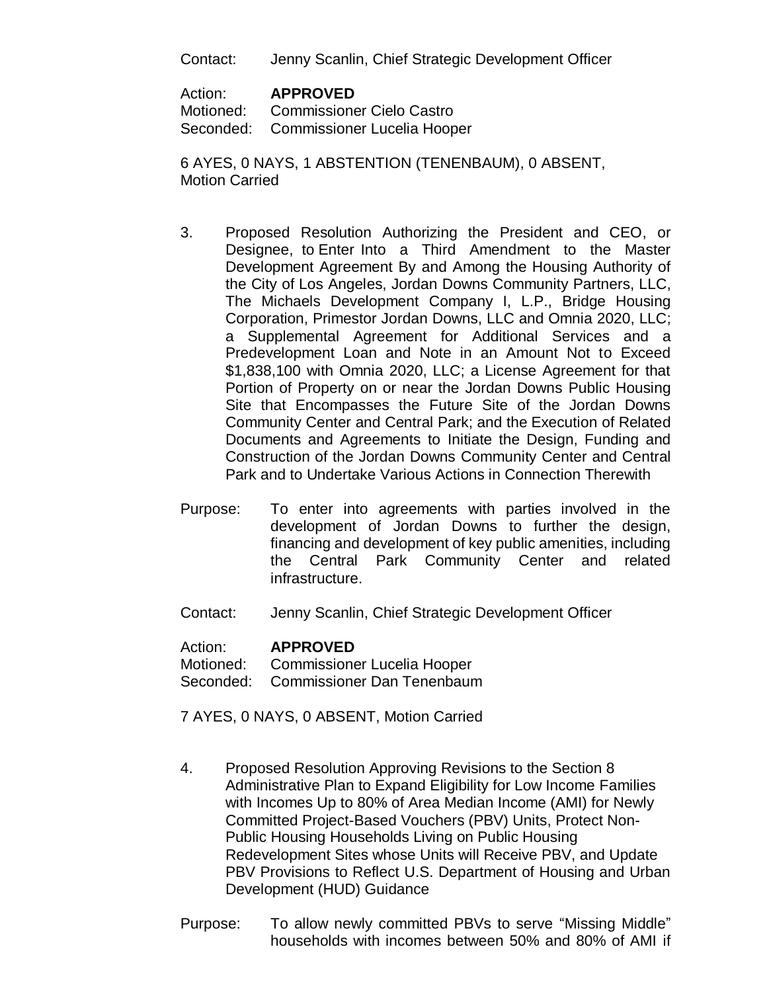Contact: Jenny Scanlin, Chief Strategic Development Officer

Action: **APPROVED**

Motioned: Commissioner Cielo Castro Seconded: Commissioner Lucelia Hooper

6 AYES, 0 NAYS, 1 ABSTENTION (TENENBAUM), 0 ABSENT, Motion Carried

- 3. Proposed Resolution Authorizing the President and CEO, or Designee, to Enter Into a Third Amendment to the Master Development Agreement By and Among the Housing Authority of the City of Los Angeles, Jordan Downs Community Partners, LLC, The Michaels Development Company I, L.P., Bridge Housing Corporation, Primestor Jordan Downs, LLC and Omnia 2020, LLC; a Supplemental Agreement for Additional Services and a Predevelopment Loan and Note in an Amount Not to Exceed \$1,838,100 with Omnia 2020, LLC; a License Agreement for that Portion of Property on or near the Jordan Downs Public Housing Site that Encompasses the Future Site of the Jordan Downs Community Center and Central Park; and the Execution of Related Documents and Agreements to Initiate the Design, Funding and Construction of the Jordan Downs Community Center and Central Park and to Undertake Various Actions in Connection Therewith
- Purpose: To enter into agreements with parties involved in the development of Jordan Downs to further the design, financing and development of key public amenities, including the Central Park Community Center and related infrastructure.
- Contact: Jenny Scanlin, Chief Strategic Development Officer

#### Action: **APPROVED**

Motioned: Commissioner Lucelia Hooper Seconded: Commissioner Dan Tenenbaum

7 AYES, 0 NAYS, 0 ABSENT, Motion Carried

- 4. Proposed Resolution Approving Revisions to the Section 8 Administrative Plan to Expand Eligibility for Low Income Families with Incomes Up to 80% of Area Median Income (AMI) for Newly Committed Project-Based Vouchers (PBV) Units, Protect Non-Public Housing Households Living on Public Housing Redevelopment Sites whose Units will Receive PBV, and Update PBV Provisions to Reflect U.S. Department of Housing and Urban Development (HUD) Guidance
- Purpose: To allow newly committed PBVs to serve "Missing Middle" households with incomes between 50% and 80% of AMI if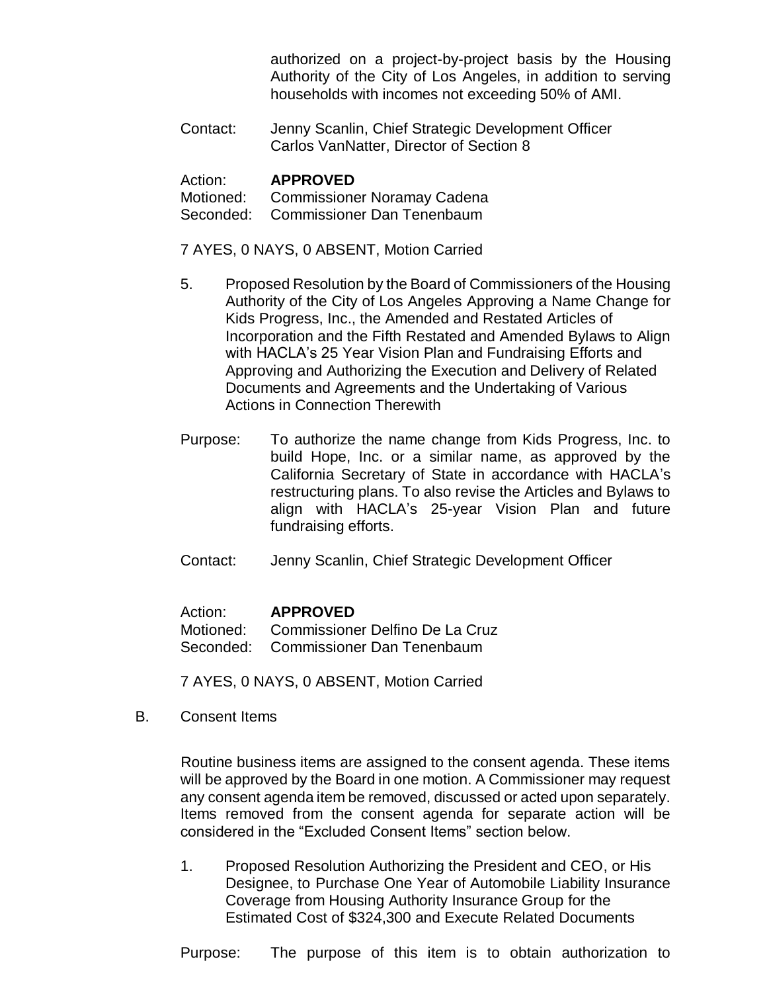authorized on a project-by-project basis by the Housing Authority of the City of Los Angeles, in addition to serving households with incomes not exceeding 50% of AMI.

Contact: Jenny Scanlin, Chief Strategic Development Officer Carlos VanNatter, Director of Section 8

#### Action: **APPROVED**

Motioned: Commissioner Noramay Cadena Seconded: Commissioner Dan Tenenbaum

7 AYES, 0 NAYS, 0 ABSENT, Motion Carried

- 5. Proposed Resolution by the Board of Commissioners of the Housing Authority of the City of Los Angeles Approving a Name Change for Kids Progress, Inc., the Amended and Restated Articles of Incorporation and the Fifth Restated and Amended Bylaws to Align with HACLA's 25 Year Vision Plan and Fundraising Efforts and Approving and Authorizing the Execution and Delivery of Related Documents and Agreements and the Undertaking of Various Actions in Connection Therewith
- Purpose: To authorize the name change from Kids Progress, Inc. to build Hope, Inc. or a similar name, as approved by the California Secretary of State in accordance with HACLA's restructuring plans. To also revise the Articles and Bylaws to align with HACLA's 25-year Vision Plan and future fundraising efforts.
- Contact: Jenny Scanlin, Chief Strategic Development Officer

#### Action: **APPROVED**

Motioned: Commissioner Delfino De La Cruz Seconded: Commissioner Dan Tenenbaum

7 AYES, 0 NAYS, 0 ABSENT, Motion Carried

B. Consent Items

Routine business items are assigned to the consent agenda. These items will be approved by the Board in one motion. A Commissioner may request any consent agenda item be removed, discussed or acted upon separately. Items removed from the consent agenda for separate action will be considered in the "Excluded Consent Items" section below.

1. Proposed Resolution Authorizing the President and CEO, or His Designee, to Purchase One Year of Automobile Liability Insurance Coverage from Housing Authority Insurance Group for the Estimated Cost of \$324,300 and Execute Related Documents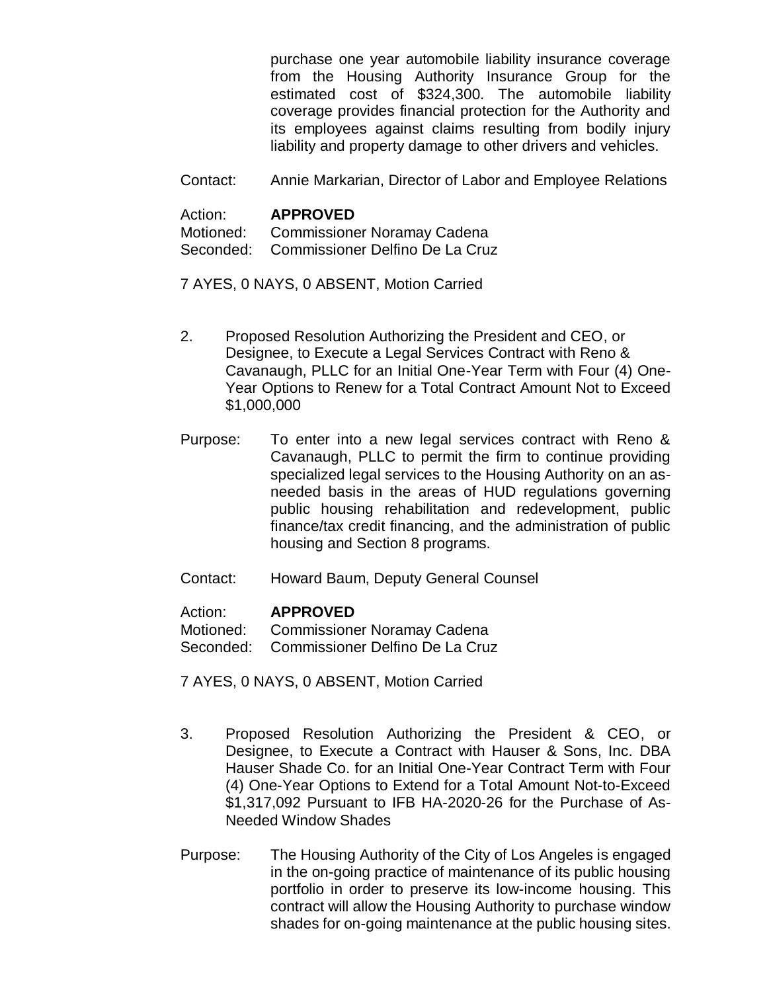purchase one year automobile liability insurance coverage from the Housing Authority Insurance Group for the estimated cost of \$324,300. The automobile liability coverage provides financial protection for the Authority and its employees against claims resulting from bodily injury liability and property damage to other drivers and vehicles.

Contact: Annie Markarian, Director of Labor and Employee Relations

# Action: **APPROVED**

Motioned: Commissioner Noramay Cadena Seconded: Commissioner Delfino De La Cruz

7 AYES, 0 NAYS, 0 ABSENT, Motion Carried

- 2. Proposed Resolution Authorizing the President and CEO, or Designee, to Execute a Legal Services Contract with Reno & Cavanaugh, PLLC for an Initial One-Year Term with Four (4) One-Year Options to Renew for a Total Contract Amount Not to Exceed \$1,000,000
- Purpose: To enter into a new legal services contract with Reno & Cavanaugh, PLLC to permit the firm to continue providing specialized legal services to the Housing Authority on an asneeded basis in the areas of HUD regulations governing public housing rehabilitation and redevelopment, public finance/tax credit financing, and the administration of public housing and Section 8 programs.
- Contact: Howard Baum, Deputy General Counsel

# Action: **APPROVED**

Motioned: Commissioner Noramay Cadena

Seconded: Commissioner Delfino De La Cruz

7 AYES, 0 NAYS, 0 ABSENT, Motion Carried

- 3. Proposed Resolution Authorizing the President & CEO, or Designee, to Execute a Contract with Hauser & Sons, Inc. DBA Hauser Shade Co. for an Initial One-Year Contract Term with Four (4) One-Year Options to Extend for a Total Amount Not-to-Exceed \$1,317,092 Pursuant to IFB HA-2020-26 for the Purchase of As-Needed Window Shades
- Purpose: The Housing Authority of the City of Los Angeles is engaged in the on-going practice of maintenance of its public housing portfolio in order to preserve its low-income housing. This contract will allow the Housing Authority to purchase window shades for on-going maintenance at the public housing sites.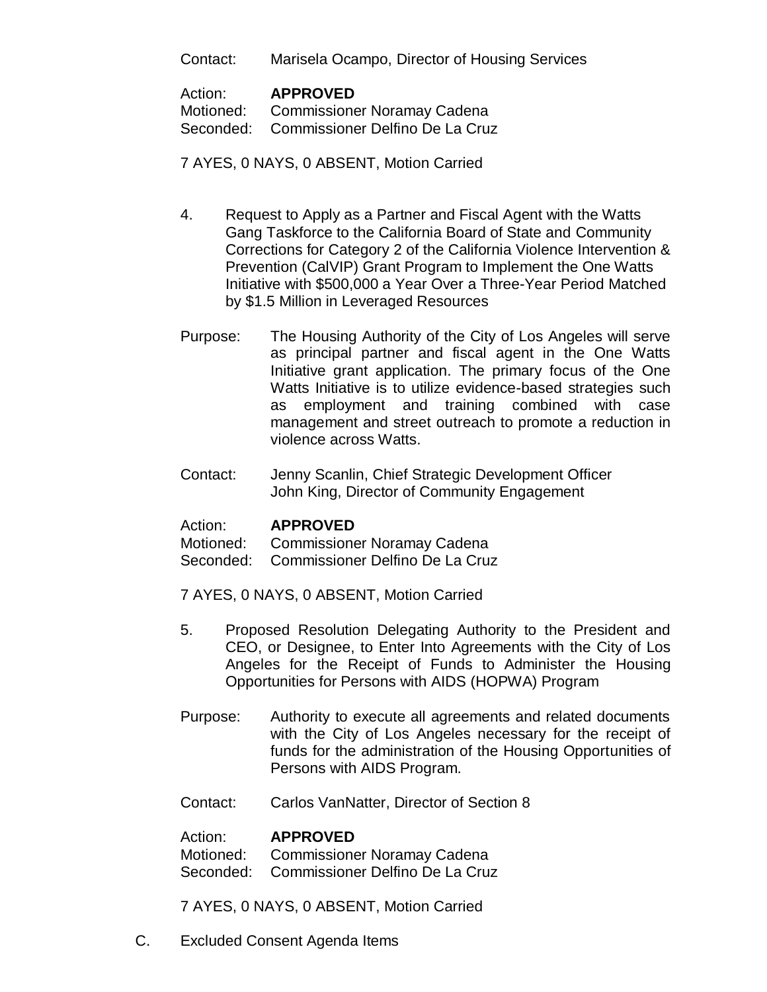Contact: Marisela Ocampo, Director of Housing Services

#### Action: **APPROVED**

Motioned: Commissioner Noramay Cadena Seconded: Commissioner Delfino De La Cruz

# 7 AYES, 0 NAYS, 0 ABSENT, Motion Carried

- 4. Request to Apply as a Partner and Fiscal Agent with the Watts Gang Taskforce to the California Board of State and Community Corrections for Category 2 of the California Violence Intervention & Prevention (CalVIP) Grant Program to Implement the One Watts Initiative with \$500,000 a Year Over a Three-Year Period Matched by \$1.5 Million in Leveraged Resources
- Purpose: The Housing Authority of the City of Los Angeles will serve as principal partner and fiscal agent in the One Watts Initiative grant application. The primary focus of the One Watts Initiative is to utilize evidence-based strategies such as employment and training combined with case management and street outreach to promote a reduction in violence across Watts.
- Contact: Jenny Scanlin, Chief Strategic Development Officer John King, Director of Community Engagement

#### Action: **APPROVED**

Motioned: Commissioner Noramay Cadena

- Seconded: Commissioner Delfino De La Cruz
- 7 AYES, 0 NAYS, 0 ABSENT, Motion Carried
- 5. Proposed Resolution Delegating Authority to the President and CEO, or Designee, to Enter Into Agreements with the City of Los Angeles for the Receipt of Funds to Administer the Housing Opportunities for Persons with AIDS (HOPWA) Program
- Purpose: Authority to execute all agreements and related documents with the City of Los Angeles necessary for the receipt of funds for the administration of the Housing Opportunities of Persons with AIDS Program.
- Contact: Carlos VanNatter, Director of Section 8

#### Action: **APPROVED**

Motioned: Commissioner Noramay Cadena Seconded: Commissioner Delfino De La Cruz

- 7 AYES, 0 NAYS, 0 ABSENT, Motion Carried
- C. Excluded Consent Agenda Items